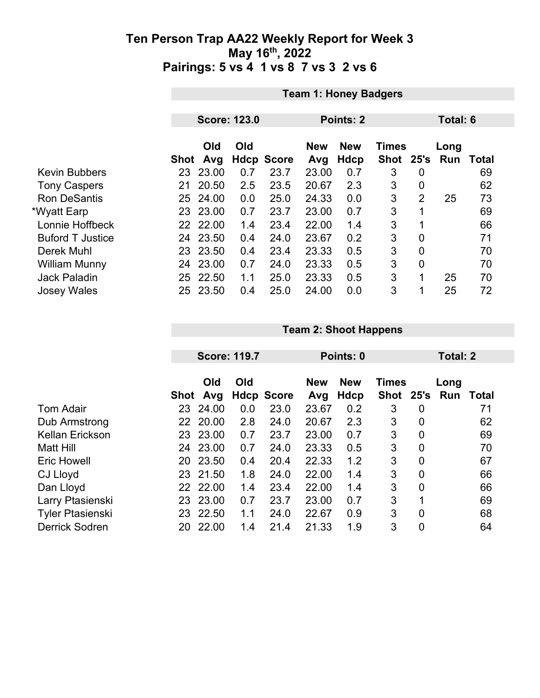|                         |      | <b>Team 1: Honey Badgers</b> |     |                   |                   |                    |                           |                |                    |              |  |
|-------------------------|------|------------------------------|-----|-------------------|-------------------|--------------------|---------------------------|----------------|--------------------|--------------|--|
|                         |      |                              |     |                   |                   |                    |                           |                |                    |              |  |
|                         |      | <b>Score: 123.0</b>          |     |                   |                   | Points: 2          |                           | Total: 6       |                    |              |  |
|                         | Shot | Old<br>Avg                   | Old | <b>Hdcp Score</b> | <b>New</b><br>Avg | <b>New</b><br>Hdcp | <b>Times</b><br>Shot 25's |                | Long<br><b>Run</b> | <b>Total</b> |  |
| <b>Kevin Bubbers</b>    | 23   | 23.00                        | 0.7 | 23.7              | 23.00             | 0.7                | 3                         | $\overline{0}$ |                    | 69           |  |
| <b>Tony Caspers</b>     | 21   | 20.50                        | 2.5 | 23.5              | 20.67             | 2.3                | 3                         | $\overline{0}$ |                    | 62           |  |
| <b>Ron DeSantis</b>     | 25   | 24.00                        | 0.0 | 25.0              | 24.33             | 0.0                | 3                         | $\overline{2}$ | 25                 | 73           |  |
| *Wyatt Earp             | 23   | 23.00                        | 0.7 | 23.7              | 23.00             | 0.7                | 3                         | 1              |                    | 69           |  |
| Lonnie Hoffbeck         |      | 22 22.00                     | 1.4 | 23.4              | 22.00             | 1.4                | 3                         |                |                    | 66           |  |
| <b>Buford T Justice</b> | 24   | 23.50                        | 0.4 | 24.0              | 23.67             | 0.2                | 3                         | $\overline{0}$ |                    | 71           |  |
| Derek Muhl              |      | 23 23.50                     | 0.4 | 23.4              | 23.33             | 0.5                | 3                         | $\overline{0}$ |                    | 70           |  |
| <b>William Munny</b>    | 24   | 23.00                        | 0.7 | 24.0              | 23.33             | 0.5                | 3                         | $\overline{0}$ |                    | 70           |  |
| <b>Jack Paladin</b>     | 25.  | 22.50                        | 1.1 | 25.0              | 23.33             | 0.5                | 3                         | 1              | 25                 | 70           |  |
| <b>Josey Wales</b>      | 25.  | 23.50                        | 0.4 | 25.0              | 24.00             | 0.0                | 3                         | 1              | 25                 | 72           |  |

|                         |      | <b>Score: 119.7</b> |     |                   | Points: 0         |                    |                             |                  | Total: 2    |       |  |
|-------------------------|------|---------------------|-----|-------------------|-------------------|--------------------|-----------------------------|------------------|-------------|-------|--|
|                         | Shot | Old<br>Avg          | Old | <b>Hdcp Score</b> | <b>New</b><br>Avg | <b>New</b><br>Hdcp | <b>Times</b><br><b>Shot</b> | 25's             | Long<br>Run | Total |  |
| <b>Tom Adair</b>        | 23   | 24.00               | 0.0 | 23.0              | 23.67             | 0.2                | 3                           | $\overline{0}$   |             | 71    |  |
| Dub Armstrong           | 22   | 20.00               | 2.8 | 24.0              | 20.67             | 2.3                | 3                           | $\boldsymbol{0}$ |             | 62    |  |
| <b>Kellan Erickson</b>  | 23   | 23.00               | 0.7 | 23.7              | 23.00             | 0.7                | 3                           | $\mathbf 0$      |             | 69    |  |
| Matt Hill               | 24   | 23.00               | 0.7 | 24.0              | 23.33             | 0.5                | 3                           | $\mathbf 0$      |             | 70    |  |
| <b>Eric Howell</b>      | 20   | 23.50               | 0.4 | 20.4              | 22.33             | 1.2                | 3                           | $\overline{0}$   |             | 67    |  |
| CJ Lloyd                | 23   | 21.50               | 1.8 | 24.0              | 22.00             | 1.4                | 3                           | $\mathbf 0$      |             | 66    |  |
| Dan Lloyd               | 22   | 22.00               | 1.4 | 23.4              | 22.00             | 1.4                | 3                           | $\overline{0}$   |             | 66    |  |
| Larry Ptasienski        | 23   | 23.00               | 0.7 | 23.7              | 23.00             | 0.7                | 3                           | 1                |             | 69    |  |
| <b>Tyler Ptasienski</b> | 23   | 22.50               | 1.1 | 24.0              | 22.67             | 0.9                | 3                           | $\mathbf 0$      |             | 68    |  |
| <b>Derrick Sodren</b>   | 20   | 22.00               | 1.4 | 21.4              | 21.33             | 1.9                | 3                           | 0                |             | 64    |  |

**Team 2: Shoot Happens**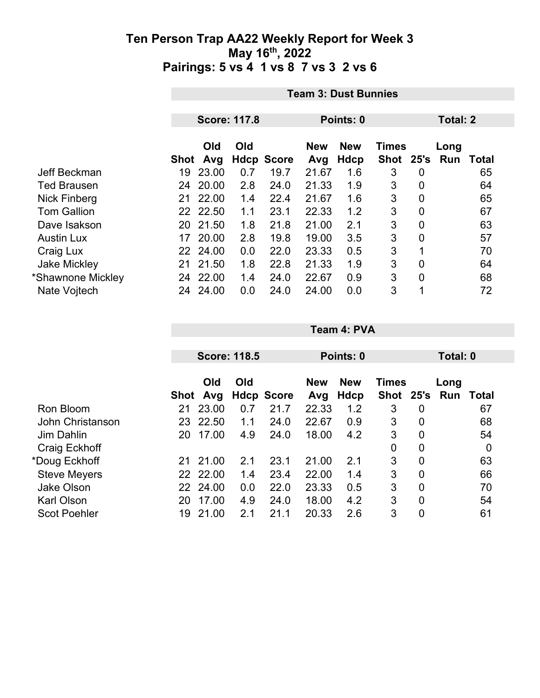|                     | <b>Team 3: Dust Bunnies</b>      |          |     |                   |            |            |              |                |      |       |  |
|---------------------|----------------------------------|----------|-----|-------------------|------------|------------|--------------|----------------|------|-------|--|
|                     | <b>Score: 117.8</b><br>Points: 0 |          |     |                   |            |            |              |                |      |       |  |
|                     |                                  |          |     |                   |            |            | Total: 2     |                |      |       |  |
|                     |                                  | Old      | Old |                   | <b>New</b> | <b>New</b> | <b>Times</b> |                | Long |       |  |
|                     | Shot                             | Avg      |     | <b>Hdcp Score</b> | Avg        | Hdcp       | Shot 25's    |                | Run  | Total |  |
| Jeff Beckman        | 19                               | 23.00    | 0.7 | 19.7              | 21.67      | 1.6        | 3            | 0              |      | 65    |  |
| <b>Ted Brausen</b>  | 24                               | 20.00    | 2.8 | 24.0              | 21.33      | 1.9        | 3            | 0              |      | 64    |  |
| <b>Nick Finberg</b> | 21                               | 22.00    | 1.4 | 22.4              | 21.67      | 1.6        | 3            | 0              |      | 65    |  |
| <b>Tom Gallion</b>  |                                  | 22 22.50 | 1.1 | 23.1              | 22.33      | 1.2        | 3            | $\overline{0}$ |      | 67    |  |
| Dave Isakson        | 20                               | 21.50    | 1.8 | 21.8              | 21.00      | 2.1        | 3            | $\overline{0}$ |      | 63    |  |
| <b>Austin Lux</b>   |                                  | 17 20.00 | 2.8 | 19.8              | 19.00      | 3.5        | 3            | 0              |      | 57    |  |
| Craig Lux           |                                  | 22 24.00 | 0.0 | 22.0              | 23.33      | 0.5        | 3            | 1              |      | 70    |  |
| <b>Jake Mickley</b> | 21                               | 21.50    | 1.8 | 22.8              | 21.33      | 1.9        | 3            | 0              |      | 64    |  |
| *Shawnone Mickley   |                                  | 24 22.00 | 1.4 | 24.0              | 22.67      | 0.9        | 3            | 0              |      | 68    |  |
| Nate Vojtech        | 24                               | 24.00    | 0.0 | 24.0              | 24.00      | 0.0        | 3            | 1              |      | 72    |  |

|                     |      | <b>Score: 118.5</b> |     |                   |                   | Points: 0          |                             |                | Total: 0    |       |
|---------------------|------|---------------------|-----|-------------------|-------------------|--------------------|-----------------------------|----------------|-------------|-------|
|                     | Shot | Old<br>Avg          | Old | <b>Hdcp Score</b> | <b>New</b><br>Avg | <b>New</b><br>Hdcp | <b>Times</b><br><b>Shot</b> | 25's           | Long<br>Run | Total |
| Ron Bloom           | 21   | 23.00               | 0.7 | 21.7              | 22.33             | 1.2                | 3                           | 0              |             | 67    |
| John Christanson    | 23   | 22.50               | 1.1 | 24.0              | 22.67             | 0.9                | 3                           | 0              |             | 68    |
| Jim Dahlin          | 20   | 17.00               | 4.9 | 24.0              | 18.00             | 4.2                | 3                           | $\overline{0}$ |             | 54    |
| Craig Eckhoff       |      |                     |     |                   |                   |                    | 0                           | $\mathbf 0$    |             | 0     |
| *Doug Eckhoff       | 21   | 21.00               | 2.1 | 23.1              | 21.00             | 2.1                | 3                           | $\overline{0}$ |             | 63    |
| <b>Steve Meyers</b> | 22   | 22.00               | 1.4 | 23.4              | 22.00             | 1.4                | 3                           | $\overline{0}$ |             | 66    |
| <b>Jake Olson</b>   |      | 22 24.00            | 0.0 | 22.0              | 23.33             | 0.5                | 3                           | $\overline{0}$ |             | 70    |
| <b>Karl Olson</b>   | 20   | 17.00               | 4.9 | 24.0              | 18.00             | 4.2                | 3                           | $\overline{0}$ |             | 54    |
| <b>Scot Poehler</b> | 19   | 21.00               | 2.1 | 21.1              | 20.33             | 2.6                | 3                           | 0              |             | 61    |

**Team 4: PVA**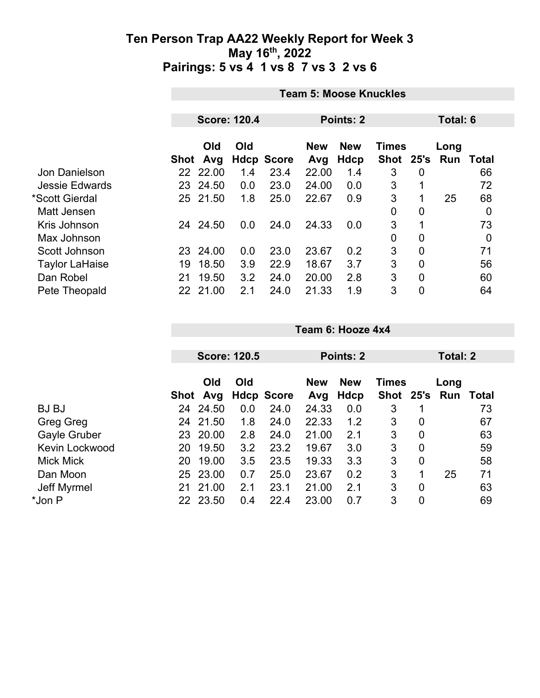|                       | <b>Team 5: Moose Knuckles</b> |            |     |                   |                   |                    |                           |                |      |                  |
|-----------------------|-------------------------------|------------|-----|-------------------|-------------------|--------------------|---------------------------|----------------|------|------------------|
|                       |                               |            |     |                   |                   |                    |                           |                |      |                  |
|                       | <b>Score: 120.4</b>           |            |     |                   | Points: 2         | Total: 6           |                           |                |      |                  |
|                       | Shot                          | Old<br>Avg | Old | <b>Hdcp Score</b> | <b>New</b><br>Avg | <b>New</b><br>Hdcp | <b>Times</b><br>Shot 25's |                | Long | <b>Run Total</b> |
| Jon Danielson         |                               | 22 22.00   | 1.4 | 23.4              | 22.00             | 1.4                | 3                         | 0              |      | 66               |
| <b>Jessie Edwards</b> | 23                            | 24.50      | 0.0 | 23.0              | 24.00             | 0.0                | 3                         | 1              |      | 72               |
| *Scott Gierdal        |                               | 25 21.50   | 1.8 | 25.0              | 22.67             | 0.9                | 3                         | 1              | 25   | 68               |
| Matt Jensen           |                               |            |     |                   |                   |                    | $\mathbf 0$               | 0              |      | $\mathbf 0$      |
| Kris Johnson          | 24                            | 24.50      | 0.0 | 24.0              | 24.33             | 0.0                | 3                         |                |      | 73               |
| Max Johnson           |                               |            |     |                   |                   |                    | $\mathbf 0$               | 0              |      | $\boldsymbol{0}$ |
| Scott Johnson         |                               | 23 24.00   | 0.0 | 23.0              | 23.67             | 0.2                | 3                         | 0              |      | 71               |
| <b>Taylor LaHaise</b> | 19                            | 18.50      | 3.9 | 22.9              | 18.67             | 3.7                | 3                         | $\overline{0}$ |      | 56               |
| Dan Robel             | 21                            | 19.50      | 3.2 | 24.0              | 20.00             | 2.8                | 3                         | $\overline{0}$ |      | 60               |
| Pete Theopald         |                               | 22 21.00   | 2.1 | 24.0              | 21.33             | 1.9                | 3                         | $\overline{0}$ |      | 64               |

|    |            |                                                                  |      |                                          |                    |           |                | Total: 2     |               |  |
|----|------------|------------------------------------------------------------------|------|------------------------------------------|--------------------|-----------|----------------|--------------|---------------|--|
|    | Old<br>Avg | Old                                                              |      | <b>New</b><br>Avg                        | <b>New</b><br>Hdcp |           |                | Long         | Total         |  |
| 24 |            | 0.0                                                              | 24.0 | 24.33                                    | 0.0                | 3         |                |              | 73            |  |
| 24 |            | 1.8                                                              | 24.0 | 22.33                                    | 1.2                | 3         | 0              |              | 67            |  |
| 23 | 20.00      | 2.8                                                              | 24.0 | 21.00                                    | 2.1                | 3         | $\overline{0}$ |              | 63            |  |
| 20 | 19.50      | 3.2                                                              | 23.2 | 19.67                                    | 3.0                | 3         | $\overline{0}$ |              | 59            |  |
| 20 |            | 3.5                                                              | 23.5 | 19.33                                    | 3.3                | 3         | $\overline{0}$ |              | 58            |  |
|    |            | 0.7                                                              | 25.0 | 23.67                                    | 0.2                | 3         | 1              | 25           | 71            |  |
| 21 |            | 2.1                                                              | 23.1 | 21.00                                    | 2.1                | 3         | 0              |              | 63            |  |
|    |            | 0.4                                                              | 22.4 | 23.00                                    | 0.7                | 3         | 0              |              | 69            |  |
|    |            | Shot<br>24.50<br>21.50<br>19.00<br>25 23.00<br>21.00<br>22 23.50 |      | <b>Score: 120.5</b><br><b>Hdcp Score</b> |                    | Points: 2 |                | <b>Times</b> | Shot 25's Run |  |

**Team 6: Hooze 4x4**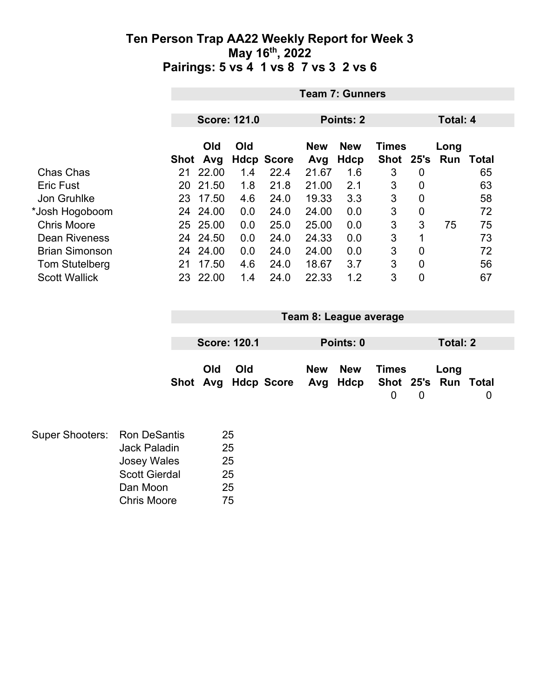|                       | <b>Team 7: Gunners</b> |                                                     |     |                   |            |            |              |      |      |       |  |
|-----------------------|------------------------|-----------------------------------------------------|-----|-------------------|------------|------------|--------------|------|------|-------|--|
|                       |                        | <b>Score: 121.0</b><br>Points: 2<br><b>Total: 4</b> |     |                   |            |            |              |      |      |       |  |
|                       |                        |                                                     |     |                   |            |            |              |      |      |       |  |
|                       |                        | <b>Old</b>                                          | Old |                   | <b>New</b> | <b>New</b> | <b>Times</b> |      | Long |       |  |
|                       | Shot                   | Avg                                                 |     | <b>Hdcp Score</b> | Avg        | Hdcp       | Shot         | 25's | Run  | Total |  |
| Chas Chas             | 21                     | 22.00                                               | 1.4 | 22.4              | 21.67      | 1.6        | 3            | 0    |      | 65    |  |
| <b>Eric Fust</b>      | 20                     | 21.50                                               | 1.8 | 21.8              | 21.00      | 2.1        | 3            | 0    |      | 63    |  |
| Jon Gruhlke           | 23                     | 17.50                                               | 4.6 | 24.0              | 19.33      | 3.3        | 3            | 0    |      | 58    |  |
| *Josh Hogoboom        | 24                     | 24.00                                               | 0.0 | 24.0              | 24.00      | 0.0        | 3            | 0    |      | 72    |  |
| <b>Chris Moore</b>    |                        | 25 25.00                                            | 0.0 | 25.0              | 25.00      | 0.0        | 3            | 3    | 75   | 75    |  |
| <b>Dean Riveness</b>  | 24                     | 24.50                                               | 0.0 | 24.0              | 24.33      | 0.0        | 3            | 1    |      | 73    |  |
| <b>Brian Simonson</b> | 24                     | 24.00                                               | 0.0 | 24.0              | 24.00      | 0.0        | 3            | 0    |      | 72    |  |
| <b>Tom Stutelberg</b> | 21                     | 17.50                                               | 4.6 | 24.0              | 18.67      | 3.7        | 3            | 0    |      | 56    |  |
| <b>Scott Wallick</b>  | 23                     | 22.00                                               | 1.4 | 24.0              | 22.33      | 1.2        | 3            | 0    |      | 67    |  |

| Team 8: League average |                     |                                                  |  |           |       |   |          |   |
|------------------------|---------------------|--------------------------------------------------|--|-----------|-------|---|----------|---|
|                        | <b>Score: 120.1</b> |                                                  |  | Points: 0 |       |   | Total: 2 |   |
| Old                    | Old                 | Shot Avg Hdcp Score Avg Hdcp Shot 25's Run Total |  | New New   | Times |   | Long     |   |
|                        |                     |                                                  |  |           | 0     | 0 |          | 0 |

| Super Shooters: Ron DeSantis |                      | 25 |
|------------------------------|----------------------|----|
|                              | <b>Jack Paladin</b>  | 25 |
|                              | <b>Josey Wales</b>   | 25 |
|                              | <b>Scott Gierdal</b> | 25 |
|                              | Dan Moon             | 25 |
|                              | <b>Chris Moore</b>   | 75 |
|                              |                      |    |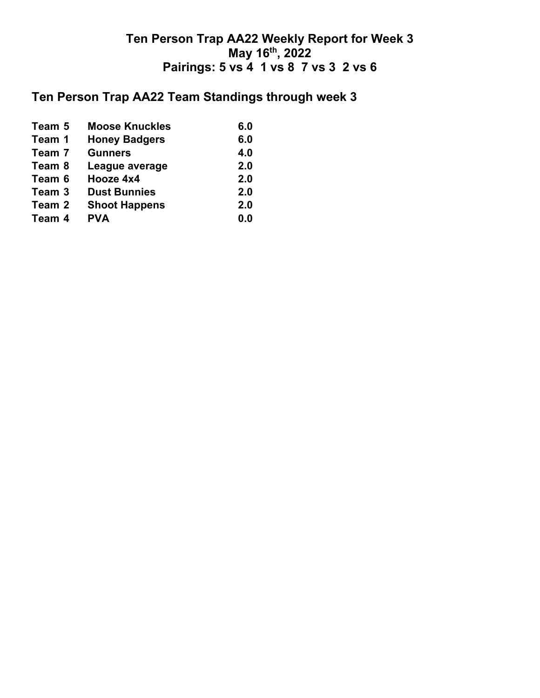## **Ten Person Trap AA22 Team Standings through week 3**

| Team 5 | <b>Moose Knuckles</b> | 6.0 |
|--------|-----------------------|-----|
| Team 1 | <b>Honey Badgers</b>  | 6.0 |
| Team 7 | <b>Gunners</b>        | 4.0 |
| Team 8 | League average        | 2.0 |
| Team 6 | Hooze 4x4             | 2.0 |
| Team 3 | <b>Dust Bunnies</b>   | 2.0 |
| Team 2 | <b>Shoot Happens</b>  | 2.0 |
| Team 4 | <b>PVA</b>            | 0.0 |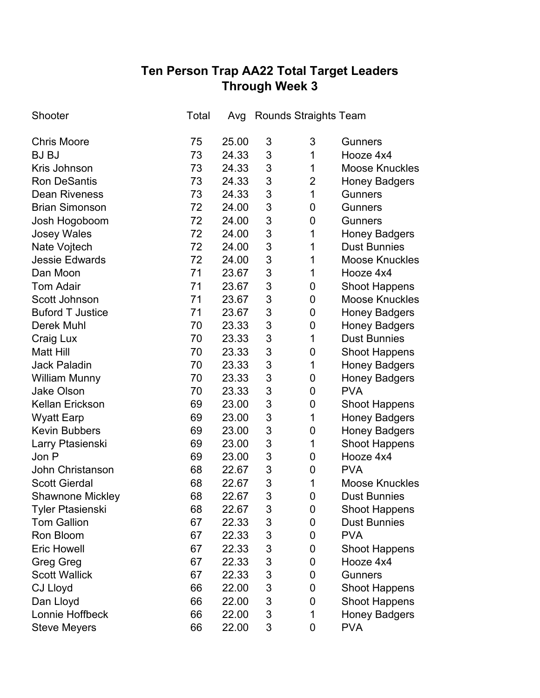# **Ten Person Trap AA22 Total Target Leaders Through Week 3**

| Shooter                 | Total |       |   | Avg Rounds Straights Team |                       |
|-------------------------|-------|-------|---|---------------------------|-----------------------|
| <b>Chris Moore</b>      | 75    | 25.00 | 3 | 3                         | <b>Gunners</b>        |
| <b>BJ BJ</b>            | 73    | 24.33 | 3 | 1                         | Hooze 4x4             |
| Kris Johnson            | 73    | 24.33 | 3 | 1                         | <b>Moose Knuckles</b> |
| <b>Ron DeSantis</b>     | 73    | 24.33 | 3 | $\overline{2}$            | <b>Honey Badgers</b>  |
| <b>Dean Riveness</b>    | 73    | 24.33 | 3 | $\mathbf 1$               | <b>Gunners</b>        |
| <b>Brian Simonson</b>   | 72    | 24.00 | 3 | 0                         | <b>Gunners</b>        |
| Josh Hogoboom           | 72    | 24.00 | 3 | 0                         | <b>Gunners</b>        |
| <b>Josey Wales</b>      | 72    | 24.00 | 3 | 1                         | <b>Honey Badgers</b>  |
| Nate Vojtech            | 72    | 24.00 | 3 | 1                         | <b>Dust Bunnies</b>   |
| <b>Jessie Edwards</b>   | 72    | 24.00 | 3 | 1                         | <b>Moose Knuckles</b> |
| Dan Moon                | 71    | 23.67 | 3 | 1                         | Hooze 4x4             |
| <b>Tom Adair</b>        | 71    | 23.67 | 3 | 0                         | <b>Shoot Happens</b>  |
| Scott Johnson           | 71    | 23.67 | 3 | 0                         | <b>Moose Knuckles</b> |
| <b>Buford T Justice</b> | 71    | 23.67 | 3 | $\mathbf 0$               | <b>Honey Badgers</b>  |
| <b>Derek Muhl</b>       | 70    | 23.33 | 3 | 0                         | <b>Honey Badgers</b>  |
| Craig Lux               | 70    | 23.33 | 3 | 1                         | <b>Dust Bunnies</b>   |
| <b>Matt Hill</b>        | 70    | 23.33 | 3 | $\mathbf 0$               | <b>Shoot Happens</b>  |
| <b>Jack Paladin</b>     | 70    | 23.33 | 3 | 1                         | <b>Honey Badgers</b>  |
| <b>William Munny</b>    | 70    | 23.33 | 3 | 0                         | <b>Honey Badgers</b>  |
| <b>Jake Olson</b>       | 70    | 23.33 | 3 | $\mathbf 0$               | <b>PVA</b>            |
| <b>Kellan Erickson</b>  | 69    | 23.00 | 3 | 0                         | <b>Shoot Happens</b>  |
| <b>Wyatt Earp</b>       | 69    | 23.00 | 3 | 1                         | <b>Honey Badgers</b>  |
| <b>Kevin Bubbers</b>    | 69    | 23.00 | 3 | 0                         | <b>Honey Badgers</b>  |
| Larry Ptasienski        | 69    | 23.00 | 3 | 1                         | <b>Shoot Happens</b>  |
| Jon P                   | 69    | 23.00 | 3 | 0                         | Hooze 4x4             |
| <b>John Christanson</b> | 68    | 22.67 | 3 | 0                         | <b>PVA</b>            |
| <b>Scott Gierdal</b>    | 68    | 22.67 | 3 | $\mathbf 1$               | <b>Moose Knuckles</b> |
| <b>Shawnone Mickley</b> | 68    | 22.67 | 3 | 0                         | <b>Dust Bunnies</b>   |
| <b>Tyler Ptasienski</b> | 68    | 22.67 | 3 | 0                         | <b>Shoot Happens</b>  |
| <b>Tom Gallion</b>      | 67    | 22.33 | 3 | 0                         | <b>Dust Bunnies</b>   |
| Ron Bloom               | 67    | 22.33 | 3 | 0                         | <b>PVA</b>            |
| <b>Eric Howell</b>      | 67    | 22.33 | 3 | 0                         | <b>Shoot Happens</b>  |
| <b>Greg Greg</b>        | 67    | 22.33 | 3 | 0                         | Hooze 4x4             |
| <b>Scott Wallick</b>    | 67    | 22.33 | 3 | 0                         | <b>Gunners</b>        |
| <b>CJ Lloyd</b>         | 66    | 22.00 | 3 | 0                         | <b>Shoot Happens</b>  |
| Dan Lloyd               | 66    | 22.00 | 3 | 0                         | <b>Shoot Happens</b>  |
| Lonnie Hoffbeck         | 66    | 22.00 | 3 | 1                         | <b>Honey Badgers</b>  |
| <b>Steve Meyers</b>     | 66    | 22.00 | 3 | 0                         | <b>PVA</b>            |